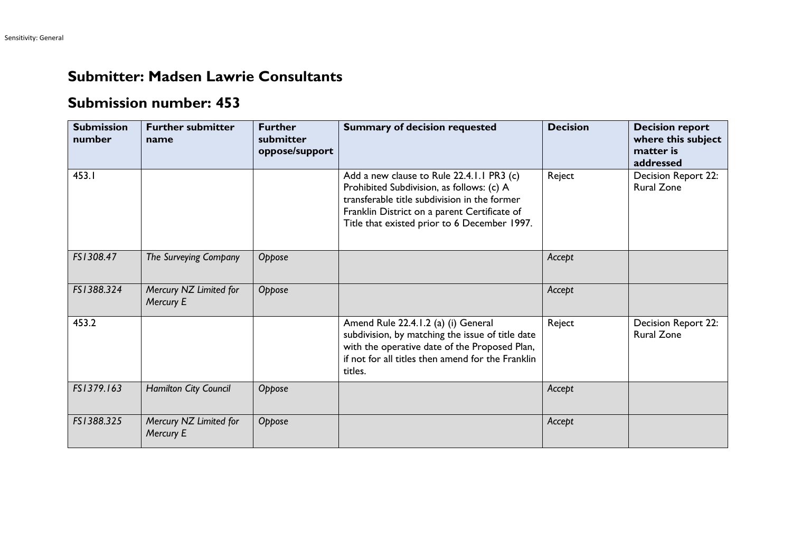## **Submitter: Madsen Lawrie Consultants**

## **Submission number: 453**

| <b>Submission</b><br>number | <b>Further submitter</b><br>name    | <b>Further</b><br>submitter<br>oppose/support | <b>Summary of decision requested</b>                                                                                                                                                                                                   | <b>Decision</b> | <b>Decision report</b><br>where this subject<br>matter is<br>addressed |
|-----------------------------|-------------------------------------|-----------------------------------------------|----------------------------------------------------------------------------------------------------------------------------------------------------------------------------------------------------------------------------------------|-----------------|------------------------------------------------------------------------|
| 453.I                       |                                     |                                               | Add a new clause to Rule 22.4.1.1 PR3 (c)<br>Prohibited Subdivision, as follows: (c) A<br>transferable title subdivision in the former<br>Franklin District on a parent Certificate of<br>Title that existed prior to 6 December 1997. | Reject          | Decision Report 22:<br><b>Rural Zone</b>                               |
| FS1308.47                   | The Surveying Company               | Oppose                                        |                                                                                                                                                                                                                                        | Accept          |                                                                        |
| FS1388.324                  | Mercury NZ Limited for<br>Mercury E | Oppose                                        |                                                                                                                                                                                                                                        | Accept          |                                                                        |
| 453.2                       |                                     |                                               | Amend Rule 22.4.1.2 (a) (i) General<br>subdivision, by matching the issue of title date<br>with the operative date of the Proposed Plan,<br>if not for all titles then amend for the Franklin<br>titles.                               | Reject          | Decision Report 22:<br><b>Rural Zone</b>                               |
| FS1379.163                  | <b>Hamilton City Council</b>        | Oppose                                        |                                                                                                                                                                                                                                        | Accept          |                                                                        |
| FS1388.325                  | Mercury NZ Limited for<br>Mercury E | Oppose                                        |                                                                                                                                                                                                                                        | Accept          |                                                                        |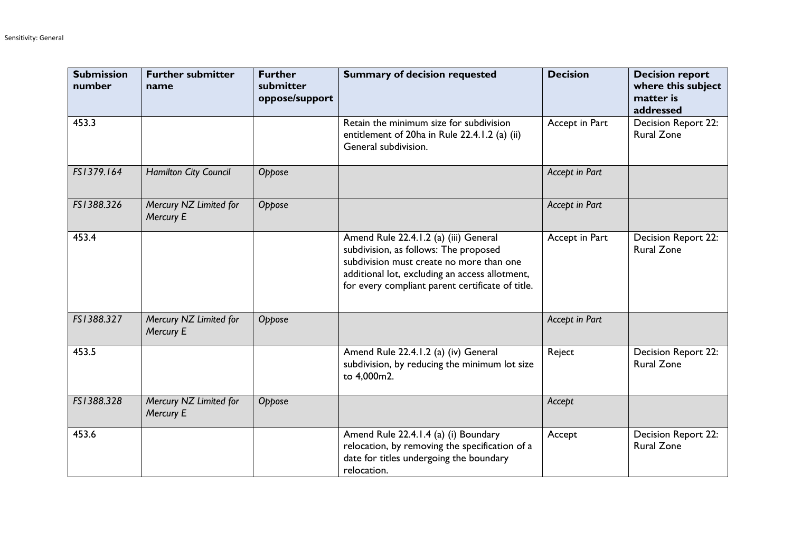| <b>Submission</b><br>number | <b>Further submitter</b><br>name    | <b>Further</b><br>submitter<br>oppose/support | <b>Summary of decision requested</b>                                                                                                                                                                                             | <b>Decision</b> | <b>Decision report</b><br>where this subject<br>matter is<br>addressed |
|-----------------------------|-------------------------------------|-----------------------------------------------|----------------------------------------------------------------------------------------------------------------------------------------------------------------------------------------------------------------------------------|-----------------|------------------------------------------------------------------------|
| 453.3                       |                                     |                                               | Retain the minimum size for subdivision<br>entitlement of 20ha in Rule 22.4.1.2 (a) (ii)<br>General subdivision.                                                                                                                 | Accept in Part  | Decision Report 22:<br><b>Rural Zone</b>                               |
| FS1379.164                  | Hamilton City Council               | Oppose                                        |                                                                                                                                                                                                                                  | Accept in Part  |                                                                        |
| FS1388.326                  | Mercury NZ Limited for<br>Mercury E | Oppose                                        |                                                                                                                                                                                                                                  | Accept in Part  |                                                                        |
| 453.4                       |                                     |                                               | Amend Rule 22.4.1.2 (a) (iii) General<br>subdivision, as follows: The proposed<br>subdivision must create no more than one<br>additional lot, excluding an access allotment,<br>for every compliant parent certificate of title. | Accept in Part  | Decision Report 22:<br><b>Rural Zone</b>                               |
| FS1388.327                  | Mercury NZ Limited for<br>Mercury E | Oppose                                        |                                                                                                                                                                                                                                  | Accept in Part  |                                                                        |
| 453.5                       |                                     |                                               | Amend Rule 22.4.1.2 (a) (iv) General<br>subdivision, by reducing the minimum lot size<br>to 4,000m2.                                                                                                                             | Reject          | <b>Decision Report 22:</b><br><b>Rural Zone</b>                        |
| FS1388.328                  | Mercury NZ Limited for<br>Mercury E | Oppose                                        |                                                                                                                                                                                                                                  | Accept          |                                                                        |
| 453.6                       |                                     |                                               | Amend Rule 22.4.1.4 (a) (i) Boundary<br>relocation, by removing the specification of a<br>date for titles undergoing the boundary<br>relocation.                                                                                 | Accept          | Decision Report 22:<br><b>Rural Zone</b>                               |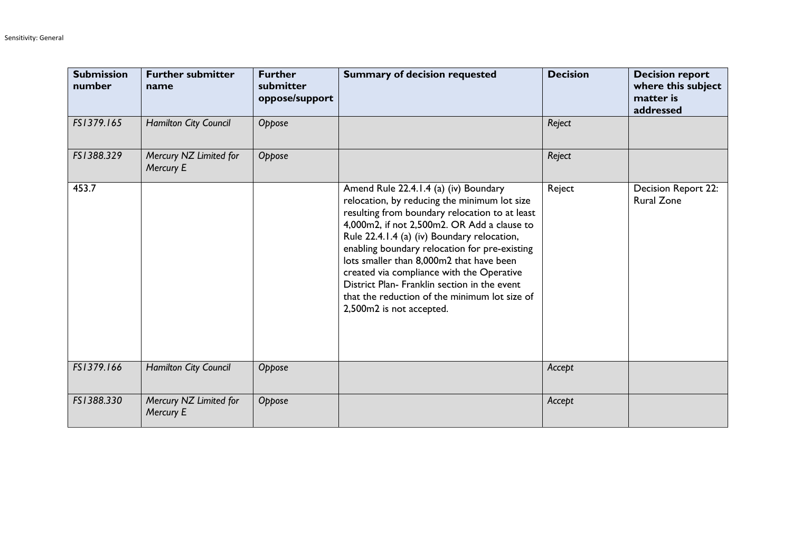| <b>Submission</b><br>number | <b>Further submitter</b><br>name    | <b>Further</b><br>submitter<br>oppose/support | <b>Summary of decision requested</b>                                                                                                                                                                                                                                                                                                                                                                                                                                                                         | <b>Decision</b> | <b>Decision report</b><br>where this subject<br>matter is<br>addressed |
|-----------------------------|-------------------------------------|-----------------------------------------------|--------------------------------------------------------------------------------------------------------------------------------------------------------------------------------------------------------------------------------------------------------------------------------------------------------------------------------------------------------------------------------------------------------------------------------------------------------------------------------------------------------------|-----------------|------------------------------------------------------------------------|
| FS1379.165                  | Hamilton City Council               | Oppose                                        |                                                                                                                                                                                                                                                                                                                                                                                                                                                                                                              | Reject          |                                                                        |
| FS1388.329                  | Mercury NZ Limited for<br>Mercury E | Oppose                                        |                                                                                                                                                                                                                                                                                                                                                                                                                                                                                                              | Reject          |                                                                        |
| 453.7                       |                                     |                                               | Amend Rule 22.4.1.4 (a) (iv) Boundary<br>relocation, by reducing the minimum lot size<br>resulting from boundary relocation to at least<br>4,000m2, if not 2,500m2. OR Add a clause to<br>Rule 22.4.1.4 (a) (iv) Boundary relocation,<br>enabling boundary relocation for pre-existing<br>lots smaller than 8,000m2 that have been<br>created via compliance with the Operative<br>District Plan- Franklin section in the event<br>that the reduction of the minimum lot size of<br>2,500m2 is not accepted. | Reject          | Decision Report 22:<br><b>Rural Zone</b>                               |
| FS1379.166                  | <b>Hamilton City Council</b>        | Oppose                                        |                                                                                                                                                                                                                                                                                                                                                                                                                                                                                                              | Accept          |                                                                        |
| FS1388.330                  | Mercury NZ Limited for<br>Mercury E | Oppose                                        |                                                                                                                                                                                                                                                                                                                                                                                                                                                                                                              | Accept          |                                                                        |